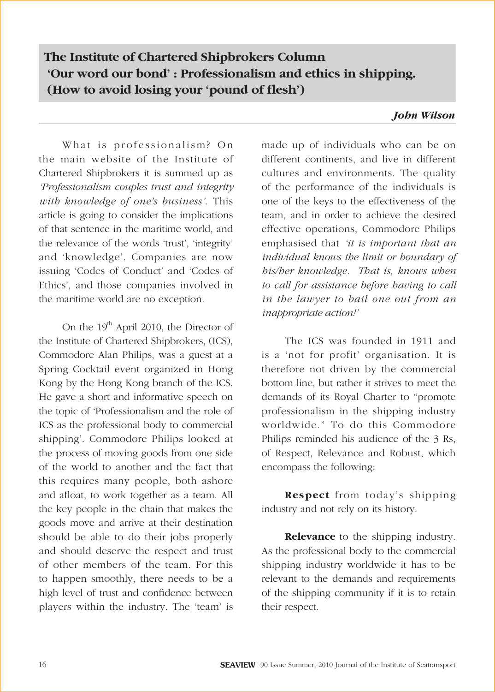# **The Institute of Chartered Shipbrokers Column 'Our word our bond' : Professionalism and ethics in shipping.** (How to avoid losing your 'pound of flesh')

## *John Wilson*

What is professionalism? On the main website of the Institute of Chartered Shipbrokers it is summed up as *'Professionalism couples trust and integrity with knowledge of one's business'*. This article is going to consider the implications of that sentence in the maritime world, and the relevance of the words 'trust', 'integrity' and 'knowledge'. Companies are now issuing 'Codes of Conduct' and 'Codes of Ethics', and those companies involved in the maritime world are no exception.

On the  $19<sup>th</sup>$  April 2010, the Director of the Institute of Chartered Shipbrokers, (ICS), Commodore Alan Philips, was a guest at a Spring Cocktail event organized in Hong Kong by the Hong Kong branch of the ICS. He gave a short and informative speech on the topic of 'Professionalism and the role of ICS as the professional body to commercial shipping'. Commodore Philips looked at the process of moving goods from one side of the world to another and the fact that this requires many people, both ashore and afloat, to work together as a team. All the key people in the chain that makes the goods move and arrive at their destination should be able to do their jobs properly and should deserve the respect and trust of other members of the team. For this to happen smoothly, there needs to be a high level of trust and confidence between players within the industry. The 'team' is

made up of individuals who can be on different continents, and live in different cultures and environments. The quality of the performance of the individuals is one of the keys to the effectiveness of the team, and in order to achieve the desired effective operations, Commodore Philips emphasised that *'it is important that an individual knows the limit or boundary of his/her knowledge. That is, knows when to call for assistance before having to call in the lawyer to bail one out from an inappropriate action!'*

The ICS was founded in 1911 and is a 'not for profit' organisation. It is therefore not driven by the commercial bottom line, but rather it strives to meet the demands of its Royal Charter to "promote professionalism in the shipping industry worldwide." To do this Commodore Philips reminded his audience of the 3 Rs, of Respect, Relevance and Robust, which encompass the following:

**Respect** from today's shipping industry and not rely on its history.

**Relevance** to the shipping industry. As the professional body to the commercial shipping industry worldwide it has to be relevant to the demands and requirements of the shipping community if it is to retain their respect.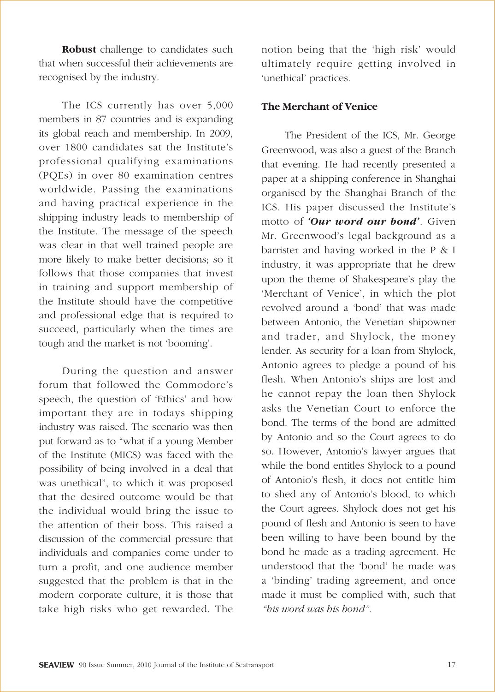**Robust** challenge to candidates such that when successful their achievements are recognised by the industry.

The ICS currently has over 5,000 members in 87 countries and is expanding its global reach and membership. In 2009, over 1800 candidates sat the Institute's professional qualifying examinations (PQEs) in over 80 examination centres worldwide. Passing the examinations and having practical experience in the shipping industry leads to membership of the Institute. The message of the speech was clear in that well trained people are more likely to make better decisions; so it follows that those companies that invest in training and support membership of the Institute should have the competitive and professional edge that is required to succeed, particularly when the times are tough and the market is not 'booming'.

During the question and answer forum that followed the Commodore's speech, the question of 'Ethics' and how important they are in todays shipping industry was raised. The scenario was then put forward as to "what if a young Member of the Institute (MICS) was faced with the possibility of being involved in a deal that was unethical", to which it was proposed that the desired outcome would be that the individual would bring the issue to the attention of their boss. This raised a discussion of the commercial pressure that individuals and companies come under to turn a profit, and one audience member suggested that the problem is that in the modern corporate culture, it is those that take high risks who get rewarded. The notion being that the 'high risk' would ultimately require getting involved in 'unethical' practices.

#### **The Merchant of Venice**

The President of the ICS, Mr. George Greenwood, was also a guest of the Branch that evening. He had recently presented a paper at a shipping conference in Shanghai organised by the Shanghai Branch of the ICS. His paper discussed the Institute's motto of *'Our word our bond'*. Given Mr. Greenwood's legal background as a barrister and having worked in the P & I industry, it was appropriate that he drew upon the theme of Shakespeare's play the 'Merchant of Venice', in which the plot revolved around a 'bond' that was made between Antonio, the Venetian shipowner and trader, and Shylock, the money lender. As security for a loan from Shylock, Antonio agrees to pledge a pound of his flesh. When Antonio's ships are lost and he cannot repay the loan then Shylock asks the Venetian Court to enforce the bond. The terms of the bond are admitted by Antonio and so the Court agrees to do so. However, Antonio's lawyer argues that while the bond entitles Shylock to a pound of Antonio's flesh, it does not entitle him to shed any of Antonio's blood, to which the Court agrees. Shylock does not get his pound of flesh and Antonio is seen to have been willing to have been bound by the bond he made as a trading agreement. He understood that the 'bond' he made was a 'binding' trading agreement, and once made it must be complied with, such that *"his word was his bond".*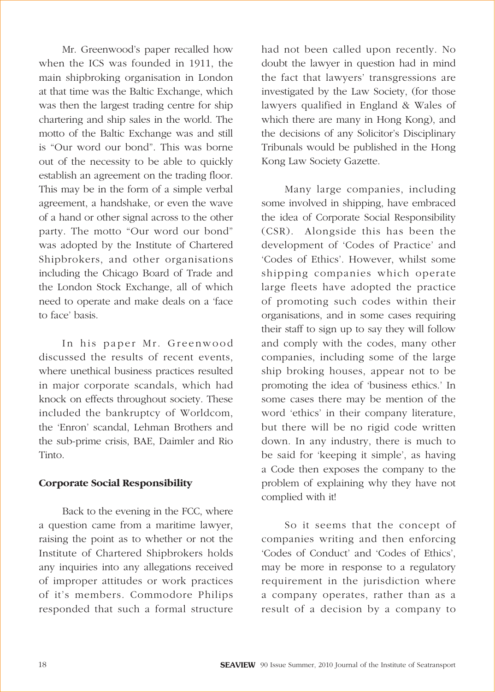Mr. Greenwood's paper recalled how when the ICS was founded in 1911, the main shipbroking organisation in London at that time was the Baltic Exchange, which was then the largest trading centre for ship chartering and ship sales in the world. The motto of the Baltic Exchange was and still is "Our word our bond". This was borne out of the necessity to be able to quickly establish an agreement on the trading floor. This may be in the form of a simple verbal agreement, a handshake, or even the wave of a hand or other signal across to the other party. The motto "Our word our bond" was adopted by the Institute of Chartered Shipbrokers, and other organisations including the Chicago Board of Trade and the London Stock Exchange, all of which need to operate and make deals on a 'face to face' basis.

In his paper Mr. Greenwood discussed the results of recent events, where unethical business practices resulted in major corporate scandals, which had knock on effects throughout society. These included the bankruptcy of Worldcom, the 'Enron' scandal, Lehman Brothers and the sub-prime crisis, BAE, Daimler and Rio Tinto.

## **Corporate Social Responsibility**

Back to the evening in the FCC, where a question came from a maritime lawyer, raising the point as to whether or not the Institute of Chartered Shipbrokers holds any inquiries into any allegations received of improper attitudes or work practices of it's members. Commodore Philips responded that such a formal structure

had not been called upon recently. No doubt the lawyer in question had in mind the fact that lawyers' transgressions are investigated by the Law Society, (for those lawyers qualified in England & Wales of which there are many in Hong Kong), and the decisions of any Solicitor's Disciplinary Tribunals would be published in the Hong Kong Law Society Gazette.

Many large companies, including some involved in shipping, have embraced the idea of Corporate Social Responsibility (CSR). Alongside this has been the development of 'Codes of Practice' and 'Codes of Ethics'. However, whilst some shipping companies which operate large fleets have adopted the practice of promoting such codes within their organisations, and in some cases requiring their staff to sign up to say they will follow and comply with the codes, many other companies, including some of the large ship broking houses, appear not to be promoting the idea of 'business ethics.' In some cases there may be mention of the word 'ethics' in their company literature, but there will be no rigid code written down. In any industry, there is much to be said for 'keeping it simple', as having a Code then exposes the company to the problem of explaining why they have not complied with it!

So it seems that the concept of companies writing and then enforcing 'Codes of Conduct' and 'Codes of Ethics', may be more in response to a regulatory requirement in the jurisdiction where a company operates, rather than as a result of a decision by a company to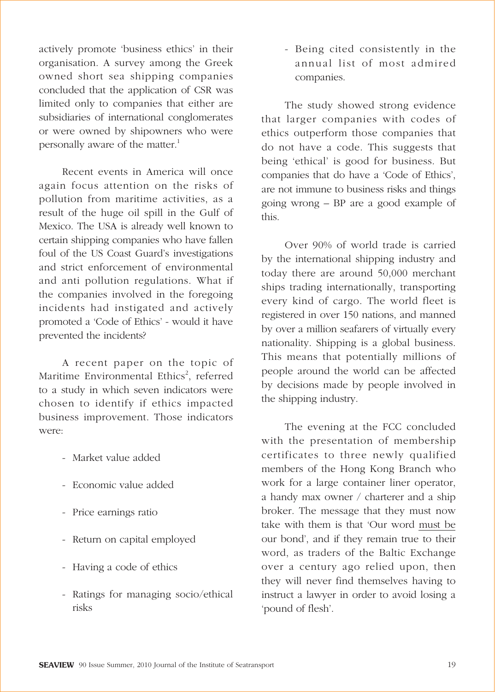actively promote 'business ethics' in their organisation. A survey among the Greek owned short sea shipping companies concluded that the application of CSR was limited only to companies that either are subsidiaries of international conglomerates or were owned by shipowners who were personally aware of the matter.<sup>1</sup>

Recent events in America will once again focus attention on the risks of pollution from maritime activities, as a result of the huge oil spill in the Gulf of Mexico. The USA is already well known to certain shipping companies who have fallen foul of the US Coast Guard's investigations and strict enforcement of environmental and anti pollution regulations. What if the companies involved in the foregoing incidents had instigated and actively promoted a 'Code of Ethics' - would it have prevented the incidents?

A recent paper on the topic of Maritime Environmental Ethics<sup>2</sup>, referred to a study in which seven indicators were chosen to identify if ethics impacted business improvement. Those indicators were:

- Market value added
- Economic value added
- Price earnings ratio
- Return on capital employed
- Having a code of ethics
- Ratings for managing socio/ethical risks

- Being cited consistently in the annual list of most admired companies.

The study showed strong evidence that larger companies with codes of ethics outperform those companies that do not have a code. This suggests that being 'ethical' is good for business. But companies that do have a 'Code of Ethics', are not immune to business risks and things going wrong – BP are a good example of this.

Over 90% of world trade is carried by the international shipping industry and today there are around 50,000 merchant ships trading internationally, transporting every kind of cargo. The world fleet is registered in over 150 nations, and manned by over a million seafarers of virtually every nationality. Shipping is a global business. This means that potentially millions of people around the world can be affected by decisions made by people involved in the shipping industry.

The evening at the FCC concluded with the presentation of membership certificates to three newly qualified members of the Hong Kong Branch who work for a large container liner operator, a handy max owner / charterer and a ship broker. The message that they must now take with them is that 'Our word must be our bond', and if they remain true to their word, as traders of the Baltic Exchange over a century ago relied upon, then they will never find themselves having to instruct a lawyer in order to avoid losing a 'pound of flesh'.